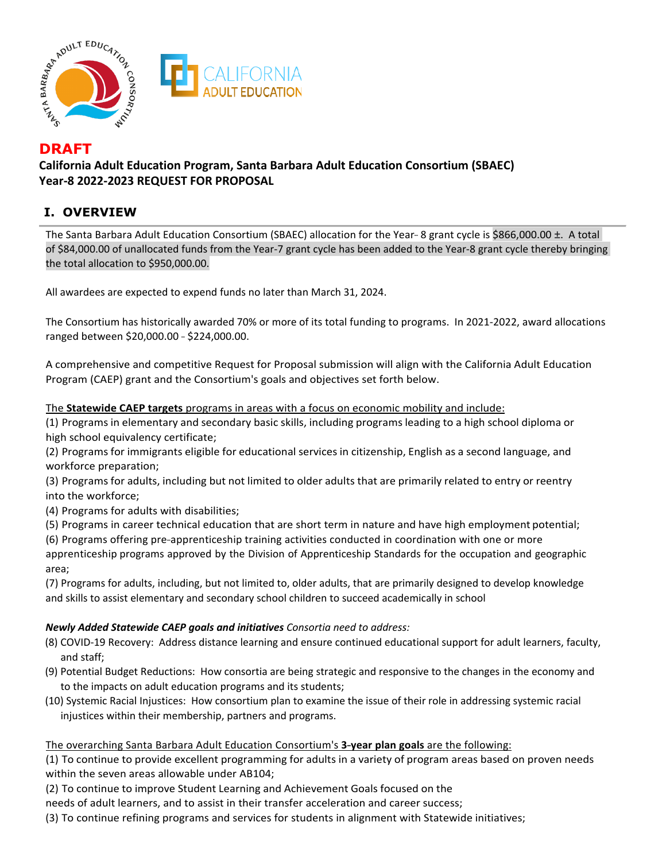

# **DRAFT**

**California Adult Education Program, Santa Barbara Adult Education Consortium (SBAEC) Year-8 2022-2023 REQUEST FOR PROPOSAL** 

# **I. OVERVIEW**

The Santa Barbara Adult Education Consortium (SBAEC) allocation for the Year--8 grant cycle is \$866,000.00 ±. A total of \$84,000.00 of unallocated funds from the Year-7 grant cycle has been added to the Year-8 grant cycle thereby bringing the total allocation to \$950,000.00.

All awardees are expected to expend funds no later than March 31, 2024.

The Consortium has historically awarded 70% or more of its total funding to programs. In 2021-2022, award allocations ranged between \$20,000.00 - \$224,000.00.

A comprehensive and competitive Request for Proposal submission will align with the California Adult Education Program (CAEP) grant and the Consortium's goals and objectives set forth below.

The **Statewide CAEP targets** programs in areas with a focus on economic mobility and include:

(1) Programs in elementary and secondary basic skills, including programs leading to a high school diploma or high school equivalency certificate;

(2) Programs for immigrants eligible for educational services in citizenship, English as a second language, and workforce preparation;

(3) Programs for adults, including but not limited to older adults that are primarily related to entry or reentry into the workforce;

(4) Programs for adults with disabilities;

(5) Programs in career technical education that are short term in nature and have high employment potential;

(6) Programs offering pre-apprenticeship training activities conducted in coordination with one or more

apprenticeship programs approved by the Division of Apprenticeship Standards for the occupation and geographic area;

(7) Programs for adults, including, but not limited to, older adults, that are primarily designed to develop knowledge and skills to assist elementary and secondary school children to succeed academically in school

### *Newly Added Statewide CAEP goals and initiatives Consortia need to address:*

- (8) COVID-19 Recovery: Address distance learning and ensure continued educational support for adult learners, faculty, and staff;
- (9) Potential Budget Reductions: How consortia are being strategic and responsive to the changes in the economy and to the impacts on adult education programs and its students;
- (10) Systemic Racial Injustices: How consortium plan to examine the issue of their role in addressing systemic racial injustices within their membership, partners and programs.

### The overarching Santa Barbara Adult Education Consortium's 3-year plan goals are the following:

(1) To continue to provide excellent programming for adults in a variety of program areas based on proven needs within the seven areas allowable under AB104;

(2) To continue to improve Student Learning and Achievement Goals focused on the

needs of adult learners, and to assist in their transfer acceleration and career success;

(3) To continue refining programs and services for students in alignment with Statewide initiatives;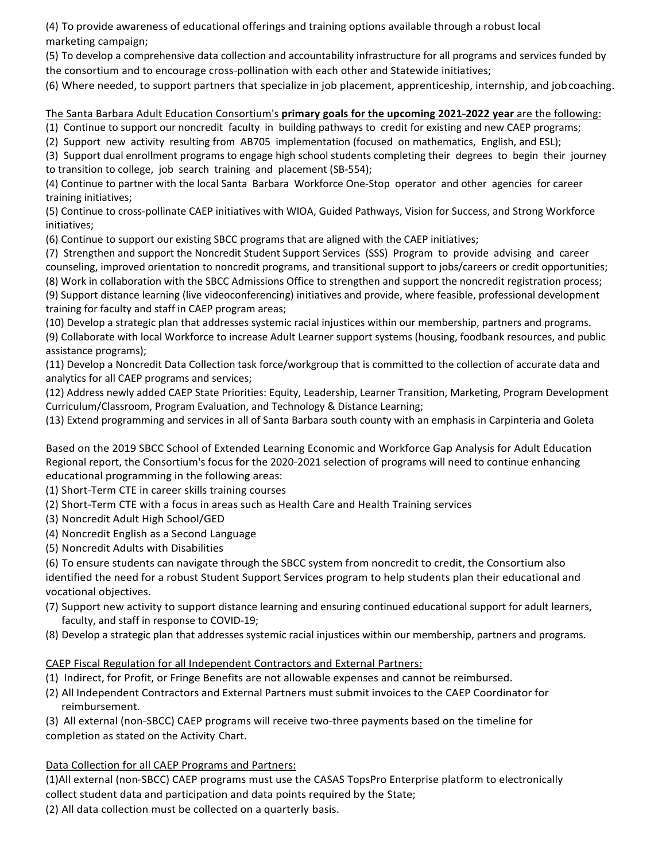(4) To provide awareness of educational offerings and training options available through a robust local marketing campaign;

(5) To develop a comprehensive data collection and accountability infrastructure for all programs and services funded by the consortium and to encourage cross-pollination with each other and Statewide initiatives;

(6) Where needed, to support partners that specialize in job placement, apprenticeship, internship, and jobcoaching.

### The Santa Barbara Adult Education Consortium's **primary goals for the upcoming 2021-2022 year** are the following:

(1) Continue to support our noncredit faculty in building pathways to credit for existing and new CAEP programs;

(2) Support new activity resulting from AB705 implementation (focused on mathematics, English, and ESL);

(3) Support dual enrollment programs to engage high school students completing their degrees to begin their journey to transition to college, job search training and placement (SB-554);

(4) Continue to partner with the local Santa Barbara Workforce One-Stop operator and other agencies for career training initiatives;

(5) Continue to cross-pollinate CAEP initiatives with WIOA, Guided Pathways, Vision for Success, and Strong Workforce initiatives;

(6) Continue to support our existing SBCC programs that are aligned with the CAEP initiatives;

(7) Strengthen and support the Noncredit Student Support Services (SSS) Program to provide advising and career counseling, improved orientation to noncredit programs, and transitional support to jobs/careers or credit opportunities;

(8) Work in collaboration with the SBCC Admissions Office to strengthen and support the noncredit registration process; (9) Support distance learning (live videoconferencing) initiatives and provide, where feasible, professional development training for faculty and staff in CAEP program areas;

(10) Develop a strategic plan that addresses systemic racial injustices within our membership, partners and programs.

(9) Collaborate with local Workforce to increase Adult Learner support systems (housing, foodbank resources, and public assistance programs);

(11) Develop a Noncredit Data Collection task force/workgroup that is committed to the collection of accurate data and analytics for all CAEP programs and services;

(12) Address newly added CAEP State Priorities: Equity, Leadership, Learner Transition, Marketing, Program Development Curriculum/Classroom, Program Evaluation, and Technology & Distance Learning;

(13) Extend programming and services in all of Santa Barbara south county with an emphasis in Carpinteria and Goleta

 Based on the 2019 SBCC School of Extended Learning Economic and Workforce Gap Analysis for Adult Education Regional report, the Consortium's focus for the 2020-2021 selection of programs will need to continue enhancing educational programming in the following areas:

(1) Short-Term CTE in career skills training courses

(2) Short-Term CTE with a focus in areas such as Health Care and Health Training services

- (3) Noncredit Adult High School/GED
- (4) Noncredit English as a Second Language
- (5) Noncredit Adults with Disabilities

(6) To ensure students can navigate through the SBCC system from noncredit to credit, the Consortium also identified the need for a robust Student Support Services program to help students plan their educational and vocational objectives.

- (7) Support new activity to support distance learning and ensuring continued educational support for adult learners, faculty, and staff in response to COVID-19;
- (8) Develop a strategic plan that addresses systemic racial injustices within our membership, partners and programs.

#### CAEP Fiscal Regulation for all Independent Contractors and External Partners:

- (1) Indirect, for Profit, or Fringe Benefits are not allowable expenses and cannot be reimbursed.
- (2) All Independent Contractors and External Partners must submit invoices to the CAEP Coordinator for reimbursement.

(3) All external (non-SBCC) CAEP programs will receive two-three payments based on the timeline for completion as stated on the Activity Chart.

### Data Collection for all CAEP Programs and Partners:

(1)All external (non-SBCC) CAEP programs must use the CASAS TopsPro Enterprise platform to electronically collect student data and participation and data points required by the State;

(2) All data collection must be collected on a quarterly basis.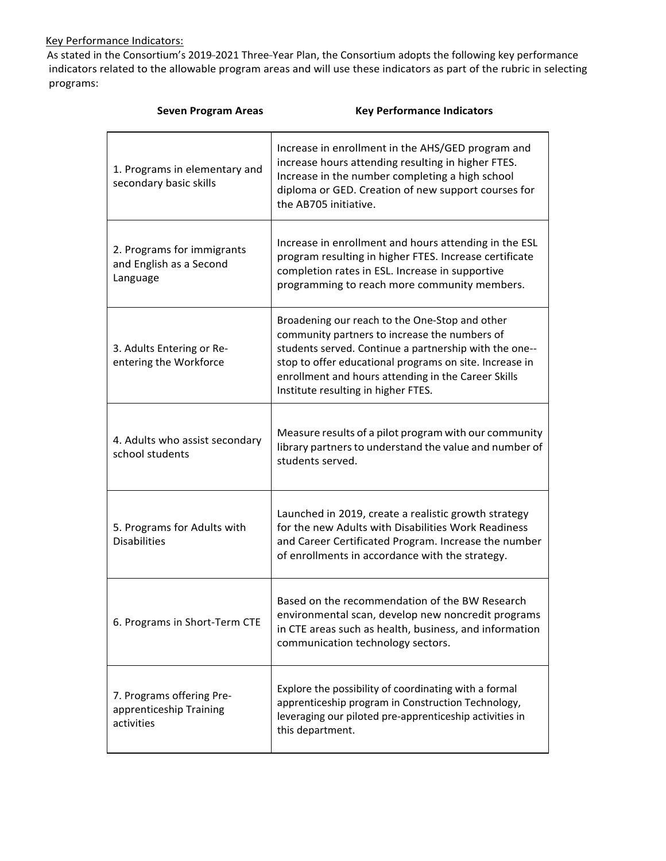### Key Performance Indicators:

As stated in the Consortium's 2019-2021 Three-Year Plan, the Consortium adopts the following key performance indicators related to the allowable program areas and will use these indicators as part of the rubric in selecting programs:

| <b>Seven Program Areas</b>                                         | <b>Key Performance Indicators</b>                                                                                                                                                                                                                                                                                  |
|--------------------------------------------------------------------|--------------------------------------------------------------------------------------------------------------------------------------------------------------------------------------------------------------------------------------------------------------------------------------------------------------------|
| 1. Programs in elementary and<br>secondary basic skills            | Increase in enrollment in the AHS/GED program and<br>increase hours attending resulting in higher FTES.<br>Increase in the number completing a high school<br>diploma or GED. Creation of new support courses for<br>the AB705 initiative.                                                                         |
| 2. Programs for immigrants<br>and English as a Second<br>Language  | Increase in enrollment and hours attending in the ESL<br>program resulting in higher FTES. Increase certificate<br>completion rates in ESL. Increase in supportive<br>programming to reach more community members.                                                                                                 |
| 3. Adults Entering or Re-<br>entering the Workforce                | Broadening our reach to the One-Stop and other<br>community partners to increase the numbers of<br>students served. Continue a partnership with the one--<br>stop to offer educational programs on site. Increase in<br>enrollment and hours attending in the Career Skills<br>Institute resulting in higher FTES. |
| 4. Adults who assist secondary<br>school students                  | Measure results of a pilot program with our community<br>library partners to understand the value and number of<br>students served.                                                                                                                                                                                |
| 5. Programs for Adults with<br><b>Disabilities</b>                 | Launched in 2019, create a realistic growth strategy<br>for the new Adults with Disabilities Work Readiness<br>and Career Certificated Program. Increase the number<br>of enrollments in accordance with the strategy.                                                                                             |
| 6. Programs in Short-Term CTE                                      | Based on the recommendation of the BW Research<br>environmental scan, develop new noncredit programs<br>in CTE areas such as health, business, and information<br>communication technology sectors.                                                                                                                |
| 7. Programs offering Pre-<br>apprenticeship Training<br>activities | Explore the possibility of coordinating with a formal<br>apprenticeship program in Construction Technology,<br>leveraging our piloted pre-apprenticeship activities in<br>this department.                                                                                                                         |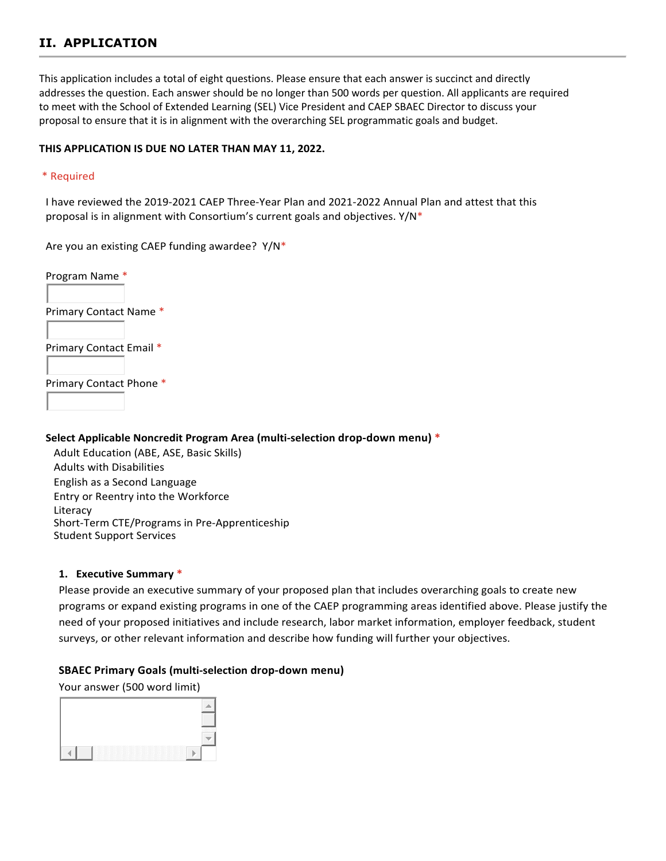# **II. APPLICATION**

This application includes a total of eight questions. Please ensure that each answer is succinct and directly addresses the question. Each answer should be no longer than 500 words per question. All applicants are required to meet with the School of Extended Learning (SEL) Vice President and CAEP SBAEC Director to discuss your proposal to ensure that it is in alignment with the overarching SEL programmatic goals and budget.

#### **THIS APPLICATION IS DUE NO LATER THAN MAY 11, 2022.**

#### \* Required

I have reviewed the 2019-2021 CAEP Three-Year Plan and 2021-2022 Annual Plan and attest that this proposal is in alignment with Consortium's current goals and objectives.  $Y/N^*$ 

Are you an existing CAEP funding awardee? Y/N\*

Program Name \*

Primary Contact Name \*

Primary Contact Email \*

Primary Contact Phone \*

#### **Select Applicable Noncredit Program Area (multi-selection drop-down menu) \***

Adult Education (ABE, ASE, Basic Skills) Adults with Disabilities English as a Second Language Entry or Reentry into the Workforce Literacy Short-Term CTE/Programs in Pre-Apprenticeship Student Support Services

#### **1. Executive Summary \***

Please provide an executive summary of your proposed plan that includes overarching goals to create new programs or expand existing programs in one of the CAEP programming areas identified above. Please justify the need of your proposed initiatives and include research, labor market information, employer feedback, student surveys, or other relevant information and describe how funding will further your objectives.

#### **SBAEC Primary Goals (multi-selection drop-down menu)**

Your answer (500 word limit)

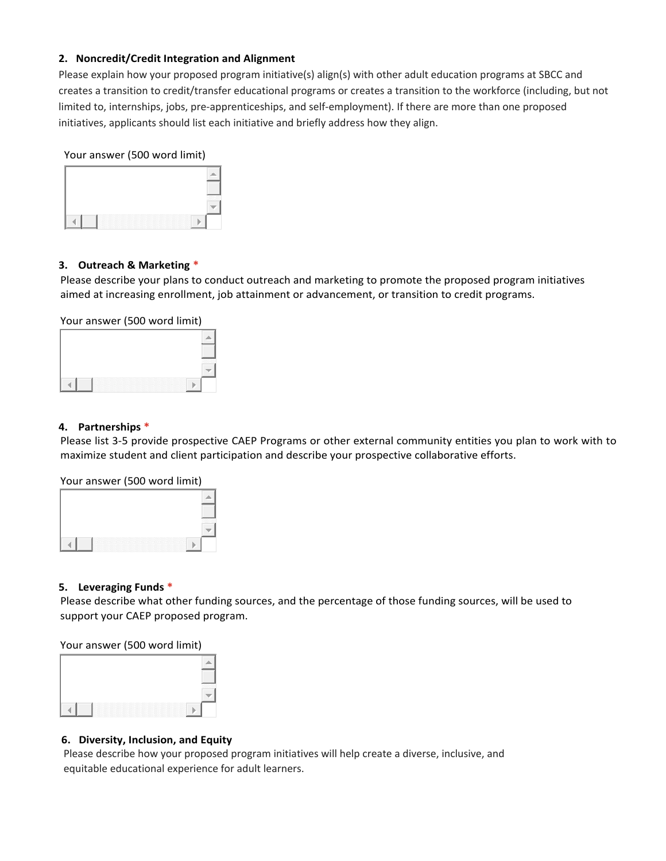#### **2. Noncredit/Credit Integration and Alignment**

Please explain how your proposed program initiative(s) align(s) with other adult education programs at SBCC and creates a transition to credit/transfer educational programs or creates a transition to the workforce (including, but not limited to, internships, jobs, pre-apprenticeships, and self-employment). If there are more than one proposed initiatives, applicants should list each initiative and briefly address how they align.

Your answer (500 word limit)



#### **3. Outreach & Marketing \***

Please describe your plans to conduct outreach and marketing to promote the proposed program initiatives aimed at increasing enrollment, job attainment or advancement, or transition to credit programs.

Your answer (500 word limit)

#### **4. Partnerships \***

Please list 3-5 provide prospective CAEP Programs or other external community entities you plan to work with to maximize student and client participation and describe your prospective collaborative efforts.

Your answer (500 word limit)

#### **5. Leveraging Funds \***

Please describe what other funding sources, and the percentage of those funding sources, will be used to support your CAEP proposed program.

Your answer (500 word limit)

#### **6. Diversity, Inclusion, and Equity**

Please describe how your proposed program initiatives will help create a diverse, inclusive, and equitable educational experience for adult learners.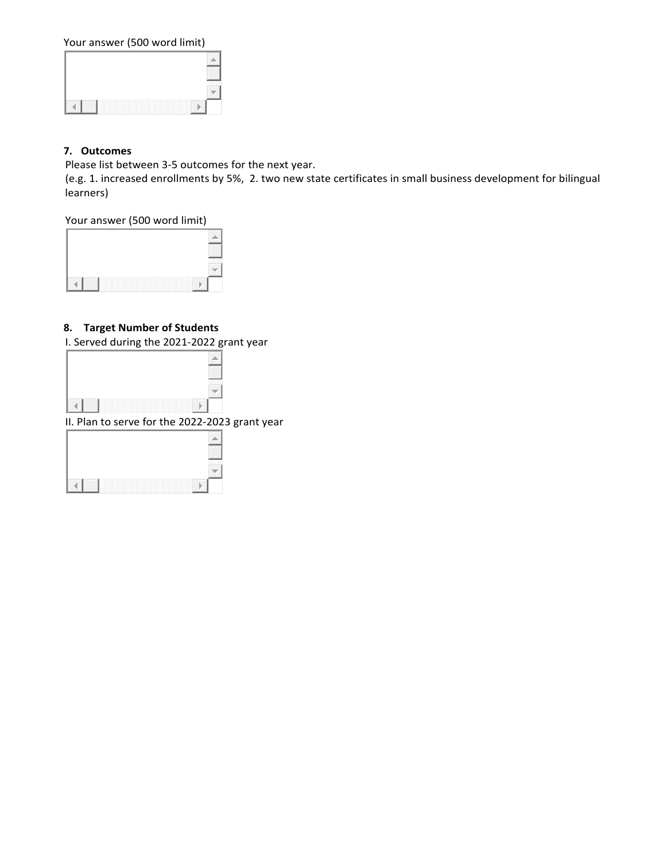Your answer (500 word limit)

### **7. Outcomes**

Please list between 3-5 outcomes for the next year.

(e.g. 1. increased enrollments by 5%, 2. two new state certificates in small business development for bilingual learners)

#### Your answer (500 word limit)

#### **8. Target Number of Students**

I. Served during the 2021-2022 grant year



| $\sim$<br>a se<br>. . |
|-----------------------|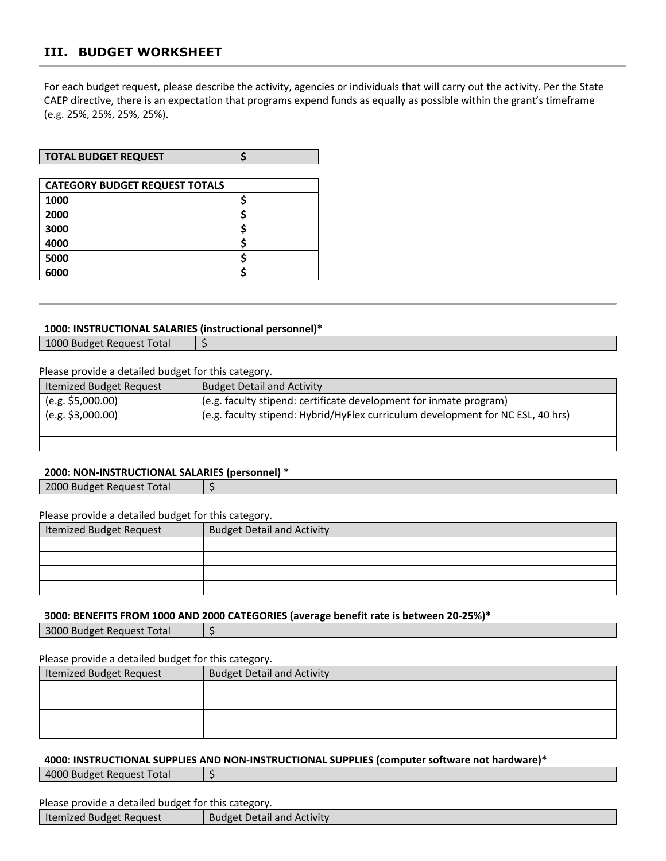## **III. BUDGET WORKSHEET**

For each budget request, please describe the activity, agencies or individuals that will carry out the activity. Per the State CAEP directive, there is an expectation that programs expend funds as equally as possible within the grant's timeframe (e.g. 25%, 25%, 25%, 25%).

| <b>TOTAL BUDGET REQUEST</b> |  |
|-----------------------------|--|
|                             |  |

| <b>CATEGORY BUDGET REQUEST TOTALS</b> |  |
|---------------------------------------|--|
| 1000                                  |  |
| 2000                                  |  |
| 3000                                  |  |
| 4000                                  |  |
| 5000                                  |  |
| 6000                                  |  |

#### **1000: INSTRUCTIONAL SALARIES (instructional personnel)\***

1000 Budget Request Total | \$

Please provide a detailed budget for this category.

| Itemized Budget Request | <b>Budget Detail and Activity</b>                                               |
|-------------------------|---------------------------------------------------------------------------------|
| (e.g. \$5,000.00)       | (e.g. faculty stipend: certificate development for inmate program)              |
| (e.g. \$3,000.00)       | (e.g. faculty stipend: Hybrid/HyFlex curriculum development for NC ESL, 40 hrs) |
|                         |                                                                                 |
|                         |                                                                                 |

#### **2000: NON-INSTRUCTIONAL SALARIES (personnel) \***

 $\vert$  2000 Budget Request Total  $\vert$  \$

Please provide a detailed budget for this category.

| Itemized Budget Request | <b>Budget Detail and Activity</b> |
|-------------------------|-----------------------------------|
|                         |                                   |
|                         |                                   |
|                         |                                   |
|                         |                                   |

#### **3000: BENEFITS FROM 1000 AND 2000 CATEGORIES (average benefit rate is between 20-25%)\***

| 3000 Budget Request Total | $\vert$ \$ |
|---------------------------|------------|
|                           |            |

Please provide a detailed budget for this category.

| <b>Itemized Budget Request</b> | <b>Budget Detail and Activity</b> |
|--------------------------------|-----------------------------------|
|                                |                                   |
|                                |                                   |
|                                |                                   |
|                                |                                   |

#### **4000: INSTRUCTIONAL SUPPLIES AND NON-INSTRUCTIONAL SUPPLIES (computer software not hardware)\***

4000 Budget Request Total | \$

Please provide a detailed budget for this category.

| <b>Budget Detail and Activity</b><br>  Itemized Budget Request |  |
|----------------------------------------------------------------|--|
|                                                                |  |